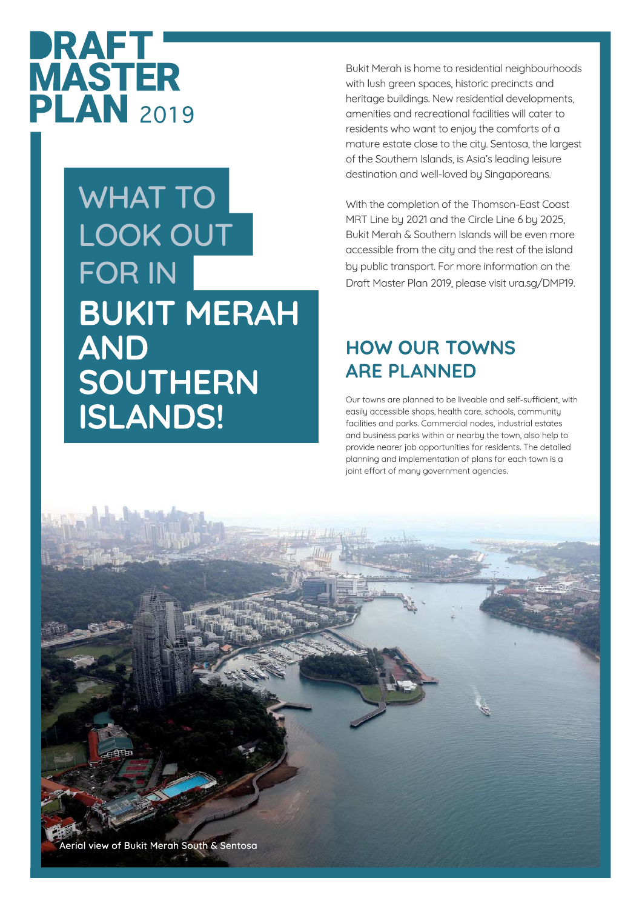

## **WHAT TO LOOK OUT FOR IN BUKIT MERAH AND SOUTHERN ISLANDS!**

Bukit Merah is home to residential neighbourhoods with lush green spaces, historic precincts and heritage buildings. New residential developments, amenities and recreational facilities will cater to residents who want to enjoy the comforts of a mature estate close to the city. Sentosa, the largest of the Southern Islands, is Asia's leading leisure destination and well-loved by Singaporeans.

With the completion of the Thomson-East Coast MRT Line by 2021 and the Circle Line 6 by 2025, Bukit Merah & Southern Islands will be even more accessible from the city and the rest of the island by public transport. For more information on the Draft Master Plan 2019, please visit ura.sg/DMP19.

## **HOW OUR TOWNS ARE PLANNED**

Our towns are planned to be liveable and self-sufficient, with easily accessible shops, health care, schools, community facilities and parks. Commercial nodes, industrial estates and business parks within or nearby the town, also help to provide nearer job opportunities for residents. The detailed planning and implementation of plans for each town is a joint effort of many government agencies.